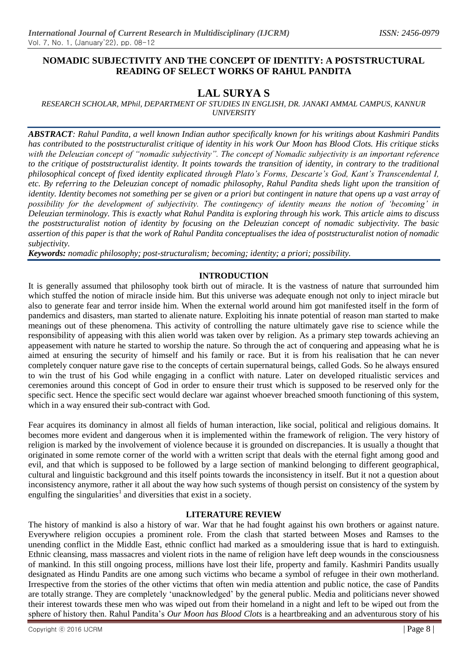## **NOMADIC SUBJECTIVITY AND THE CONCEPT OF IDENTITY: A POSTSTRUCTURAL READING OF SELECT WORKS OF RAHUL PANDITA**

# **LAL SURYA S**

*RESEARCH SCHOLAR, MPhil, DEPARTMENT OF STUDIES IN ENGLISH, DR. JANAKI AMMAL CAMPUS, KANNUR UNIVERSITY*

*ABSTRACT: Rahul Pandita, a well known Indian author specifically known for his writings about Kashmiri Pandits has contributed to the poststructuralist critique of identity in his work Our Moon has Blood Clots. His critique sticks with the Deleuzian concept of "nomadic subjectivity". The concept of Nomadic subjectivity is an important reference to the critique of poststructuralist identity. It points towards the transition of identity, in contrary to the traditional philosophical concept of fixed identity explicated through Plato"s Forms, Descarte"s God, Kant"s Transcendental I, etc. By referring to the Deleuzian concept of nomadic philosophy, Rahul Pandita sheds light upon the transition of identity. Identity becomes not something per se given or a priori but contingent in nature that opens up a vast array of possibility for the development of subjectivity. The contingency of identity means the notion of "becoming" in Deleuzian terminology. This is exactly what Rahul Pandita is exploring through his work. This article aims to discuss the poststructuralist notion of identity by focusing on the Deleuzian concept of nomadic subjectivity. The basic assertion of this paper is that the work of Rahul Pandita conceptualises the idea of poststructuralist notion of nomadic subjectivity.*

*Keywords: nomadic philosophy; post-structuralism; becoming; identity; a priori; possibility.*

## **INTRODUCTION**

It is generally assumed that philosophy took birth out of miracle. It is the vastness of nature that surrounded him which stuffed the notion of miracle inside him. But this universe was adequate enough not only to inject miracle but also to generate fear and terror inside him. When the external world around him got manifested itself in the form of pandemics and disasters, man started to alienate nature. Exploiting his innate potential of reason man started to make meanings out of these phenomena. This activity of controlling the nature ultimately gave rise to science while the responsibility of appeasing with this alien world was taken over by religion. As a primary step towards achieving an appeasement with nature he started to worship the nature. So through the act of conquering and appeasing what he is aimed at ensuring the security of himself and his family or race. But it is from his realisation that he can never completely conquer nature gave rise to the concepts of certain supernatural beings, called Gods. So he always ensured to win the trust of his God while engaging in a conflict with nature. Later on developed ritualistic services and ceremonies around this concept of God in order to ensure their trust which is supposed to be reserved only for the specific sect. Hence the specific sect would declare war against whoever breached smooth functioning of this system, which in a way ensured their sub-contract with God.

Fear acquires its dominancy in almost all fields of human interaction, like social, political and religious domains. It becomes more evident and dangerous when it is implemented within the framework of religion. The very history of religion is marked by the involvement of violence because it is grounded on discrepancies. It is usually a thought that originated in some remote corner of the world with a written script that deals with the eternal fight among good and evil, and that which is supposed to be followed by a large section of mankind belonging to different geographical, cultural and linguistic background and this itself points towards the inconsistency in itself. But it not a question about inconsistency anymore, rather it all about the way how such systems of though persist on consistency of the system by engulfing the singularities<sup>1</sup> and diversities that exist in a society.

### **LITERATURE REVIEW**

The history of mankind is also a history of war. War that he had fought against his own brothers or against nature. Everywhere religion occupies a prominent role. From the clash that started between Moses and Ramses to the unending conflict in the Middle East, ethnic conflict had marked as a smouldering issue that is hard to extinguish. Ethnic cleansing, mass massacres and violent riots in the name of religion have left deep wounds in the consciousness of mankind. In this still ongoing process, millions have lost their life, property and family. Kashmiri Pandits usually designated as Hindu Pandits are one among such victims who became a symbol of refugee in their own motherland. Irrespective from the stories of the other victims that often win media attention and public notice, the case of Pandits are totally strange. They are completely "unacknowledged" by the general public. Media and politicians never showed their interest towards these men who was wiped out from their homeland in a night and left to be wiped out from the sphere of history then. Rahul Pandita"s *Our Moon has Blood Clots* is a heartbreaking and an adventurous story of his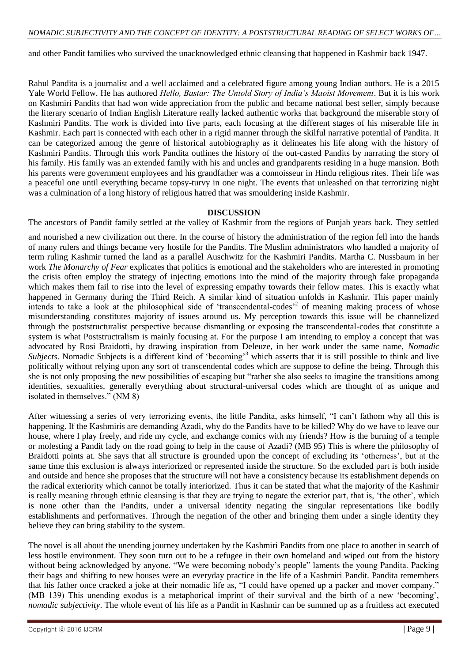and other Pandit families who survived the unacknowledged ethnic cleansing that happened in Kashmir back 1947.

Rahul Pandita is a journalist and a well acclaimed and a celebrated figure among young Indian authors. He is a 2015 Yale World Fellow. He has authored *Hello, Bastar: The Untold Story of India"s Maoist Movement*. But it is his work on Kashmiri Pandits that had won wide appreciation from the public and became national best seller, simply because the literary scenario of Indian English Literature really lacked authentic works that background the miserable story of Kashmiri Pandits. The work is divided into five parts, each focusing at the different stages of his miserable life in Kashmir. Each part is connected with each other in a rigid manner through the skilful narrative potential of Pandita. It can be categorized among the genre of historical autobiography as it delineates his life along with the history of Kashmiri Pandits. Through this work Pandita outlines the history of the out-casted Pandits by narrating the story of his family. His family was an extended family with his and uncles and grandparents residing in a huge mansion. Both his parents were government employees and his grandfather was a connoisseur in Hindu religious rites. Their life was a peaceful one until everything became topsy-turvy in one night. The events that unleashed on that terrorizing night was a culmination of a long history of religious hatred that was smouldering inside Kashmir.

#### **DISCUSSION**

The ancestors of Pandit family settled at the valley of Kashmir from the regions of Punjab years back. They settled

and nourished a new civilization out there. In the course of history the administration of the region fell into the hands of many rulers and things became very hostile for the Pandits. The Muslim administrators who handled a majority of term ruling Kashmir turned the land as a parallel Auschwitz for the Kashmiri Pandits. Martha C. Nussbaum in her work *The Monarchy of Fear* explicates that politics is emotional and the stakeholders who are interested in promoting the crisis often employ the strategy of injecting emotions into the mind of the majority through fake propaganda which makes them fail to rise into the level of expressing empathy towards their fellow mates. This is exactly what happened in Germany during the Third Reich. A similar kind of situation unfolds in Kashmir. This paper mainly intends to take a look at the philosophical side of 'transcendental-codes'<sup>2</sup> of meaning making process of whose misunderstanding constitutes majority of issues around us. My perception towards this issue will be channelized through the poststructuralist perspective because dismantling or exposing the transcendental-codes that constitute a system is what Poststructralism is mainly focusing at. For the purpose I am intending to employ a concept that was advocated by Rosi Braidotti, by drawing inspiration from Deleuze, in her work under the same name, *Nomadic Subjects*. Nomadic Subjects is a different kind of 'becoming'<sup>3</sup> which asserts that it is still possible to think and live politically without relying upon any sort of transcendental codes which are suppose to define the being. Through this she is not only proposing the new possibilities of escaping but "rather she also seeks to imagine the transitions among identities, sexualities, generally everything about structural-universal codes which are thought of as unique and isolated in themselves." (NM 8)

After witnessing a series of very terrorizing events, the little Pandita, asks himself, "I can"t fathom why all this is happening. If the Kashmiris are demanding Azadi, why do the Pandits have to be killed? Why do we have to leave our house, where I play freely, and ride my cycle, and exchange comics with my friends? How is the burning of a temple or molesting a Pandit lady on the road going to help in the cause of Azadi? (MB 95) This is where the philosophy of Braidotti points at. She says that all structure is grounded upon the concept of excluding its 'otherness', but at the same time this exclusion is always interiorized or represented inside the structure. So the excluded part is both inside and outside and hence she proposes that the structure will not have a consistency because its establishment depends on the radical exteriority which cannot be totally interiorized. Thus it can be stated that what the majority of the Kashmir is really meaning through ethnic cleansing is that they are trying to negate the exterior part, that is, "the other", which is none other than the Pandits, under a universal identity negating the singular representations like bodily establishments and performatives. Through the negation of the other and bringing them under a single identity they believe they can bring stability to the system.

The novel is all about the unending journey undertaken by the Kashmiri Pandits from one place to another in search of less hostile environment. They soon turn out to be a refugee in their own homeland and wiped out from the history without being acknowledged by anyone. "We were becoming nobody"s people" laments the young Pandita. Packing their bags and shifting to new houses were an everyday practice in the life of a Kashmiri Pandit. Pandita remembers that his father once cracked a joke at their nomadic life as, "I could have opened up a packer and mover company." (MB 139) This unending exodus is a metaphorical imprint of their survival and the birth of a new "becoming", *nomadic subjectivity*. The whole event of his life as a Pandit in Kashmir can be summed up as a fruitless act executed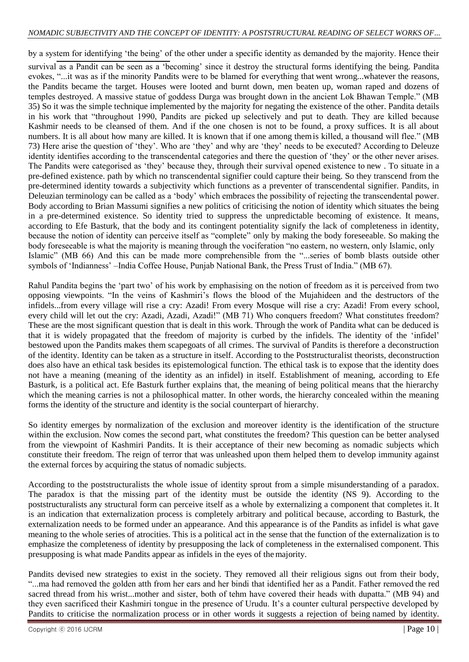by a system for identifying "the being" of the other under a specific identity as demanded by the majority. Hence their

survival as a Pandit can be seen as a 'becoming' since it destroy the structural forms identifying the being. Pandita evokes, "...it was as if the minority Pandits were to be blamed for everything that went wrong...whatever the reasons, the Pandits became the target. Houses were looted and burnt down, men beaten up, woman raped and dozens of temples destroyed. A massive statue of goddess Durga was brought down in the ancient Lok Bhawan Temple." (MB 35) So it was the simple technique implemented by the majority for negating the existence of the other. Pandita details in his work that "throughout 1990, Pandits are picked up selectively and put to death. They are killed because Kashmir needs to be cleansed of them. And if the one chosen is not to be found, a proxy suffices. It is all about numbers. It is all about how many are killed. It is known that if one among themis killed, a thousand will flee." (MB 73) Here arise the question of "they". Who are "they" and why are "they" needs to be executed? According to Deleuze identity identifies according to the transcendental categories and there the question of "they" or the other never arises. The Pandits were categorised as 'they' because they, through their survival opened existence to new . To situate in a pre-defined existence. path by which no transcendental signifier could capture their being. So they transcend from the pre-determined identity towards a subjectivity which functions as a preventer of transcendental signifier. Pandits, in Deleuzian terminology can be called as a "body" which embraces the possibility of rejecting the transcendental power. Body according to Brian Massumi signifies a new politics of criticising the notion of identity which situates the being in a pre-determined existence. So identity tried to suppress the unpredictable becoming of existence. It means, according to Efe Basturk, that the body and its contingent potentiality signify the lack of completeness in identity, because the notion of identity can perceive itself as "complete" only by making the body foreseeable. So making the body foreseeable is what the majority is meaning through the vociferation "no eastern, no western, only Islamic, only Islamic" (MB 66) And this can be made more comprehensible from the "...series of bomb blasts outside other symbols of 'Indianness' –India Coffee House, Punjab National Bank, the Press Trust of India." (MB 67).

Rahul Pandita begins the "part two" of his work by emphasising on the notion of freedom as it is perceived from two opposing viewpoints. "In the veins of Kashmiri"s flows the blood of the Mujahideen and the destructors of the infidels...from every village will rise a cry: Azadi! From every Mosque will rise a cry: Azadi! From every school, every child will let out the cry: Azadi, Azadi, Azadi!" (MB 71) Who conquers freedom? What constitutes freedom? These are the most significant question that is dealt in this work. Through the work of Pandita what can be deduced is that it is widely propagated that the freedom of majority is curbed by the infidels. The identity of the "infidel" bestowed upon the Pandits makes them scapegoats of all crimes. The survival of Pandits is therefore a deconstruction of the identity. Identity can be taken as a structure in itself. According to the Poststructuralist theorists, deconstruction does also have an ethical task besides its epistemological function. The ethical task is to expose that the identity does not have a meaning (meaning of the identity as an infidel) in itself. Establishment of meaning, according to Efe Basturk, is a political act. Efe Basturk further explains that, the meaning of being political means that the hierarchy which the meaning carries is not a philosophical matter. In other words, the hierarchy concealed within the meaning forms the identity of the structure and identity is the social counterpart of hierarchy.

So identity emerges by normalization of the exclusion and moreover identity is the identification of the structure within the exclusion. Now comes the second part, what constitutes the freedom? This question can be better analysed from the viewpoint of Kashmiri Pandits. It is their acceptance of their new becoming as nomadic subjects which constitute their freedom. The reign of terror that was unleashed upon them helped them to develop immunity against the external forces by acquiring the status of nomadic subjects.

According to the poststructuralists the whole issue of identity sprout from a simple misunderstanding of a paradox. The paradox is that the missing part of the identity must be outside the identity (NS 9). According to the poststructuralists any structural form can perceive itself as a whole by externalizing a component that completes it. It is an indication that externalization process is completely arbitrary and political because, according to Basturk, the externalization needs to be formed under an appearance. And this appearance is of the Pandits as infidel is what gave meaning to the whole series of atrocities. This is a political act in the sense that the function of the externalization is to emphasize the completeness of identity by presupposing the lack of completeness in the externalised component. This presupposing is what made Pandits appear as infidels in the eyes of themajority.

Pandits devised new strategies to exist in the society. They removed all their religious signs out from their body, "...ma had removed the golden atth from her ears and her bindi that identified her as a Pandit. Father removed the red sacred thread from his wrist...mother and sister, both of tehm have covered their heads with dupatta." (MB 94) and they even sacrificed their Kashmiri tongue in the presence of Urudu. It"s a counter cultural perspective developed by Pandits to criticise the normalization process or in other words it suggests a rejection of being named by identity.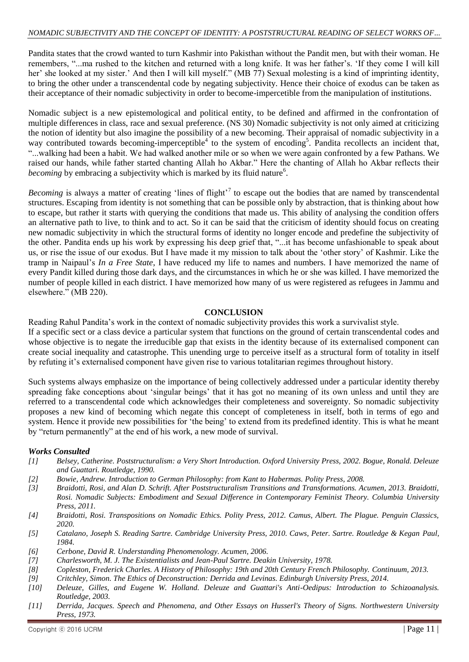Pandita states that the crowd wanted to turn Kashmir into Pakisthan without the Pandit men, but with their woman. He remembers, "...ma rushed to the kitchen and returned with a long knife. It was her father"s. "If they come I will kill her' she looked at my sister.' And then I will kill myself." (MB 77) Sexual molesting is a kind of imprinting identity, to bring the other under a transcendental code by negating subjectivity. Hence their choice of exodus can be taken as their acceptance of their nomadic subjectivity in order to become-impercetible from the manipulation of institutions.

Nomadic subject is a new epistemological and political entity, to be defined and affirmed in the confrontation of multiple differences in class, race and sexual preference. (NS 30) Nomadic subjectivity is not only aimed at criticizing the notion of identity but also imagine the possibility of a new becoming. Their appraisal of nomadic subjectivity in a way contributed towards becoming-imperceptible<sup>4</sup> to the system of encoding<sup>5</sup>. Pandita recollects an incident that, "...walking had been a habit. We had walked another mile or so when we were again confronted by a few Pathans. We raised our hands, while father started chanting Allah ho Akbar." Here the chanting of Allah ho Akbar reflects their becoming by embracing a subjectivity which is marked by its fluid nature<sup>6</sup>.

Becoming is always a matter of creating 'lines of flight'<sup>7</sup> to escape out the bodies that are named by transcendental structures. Escaping from identity is not something that can be possible only by abstraction, that is thinking about how to escape, but rather it starts with querying the conditions that made us. This ability of analysing the condition offers an alternative path to live, to think and to act. So it can be said that the criticism of identity should focus on creating new nomadic subjectivity in which the structural forms of identity no longer encode and predefine the subjectivity of the other. Pandita ends up his work by expressing his deep grief that, "...it has become unfashionable to speak about us, or rise the issue of our exodus. But I have made it my mission to talk about the "other story" of Kashmir. Like the tramp in Naipaul"s *In a Free State*, I have reduced my life to names and numbers. I have memorized the name of every Pandit killed during those dark days, and the circumstances in which he or she was killed. I have memorized the number of people killed in each district. I have memorized how many of us were registered as refugees in Jammu and elsewhere." (MB 220).

#### **CONCLUSION**

Reading Rahul Pandita"s work in the context of nomadic subjectivity provides this work a survivalist style. If a specific sect or a class device a particular system that functions on the ground of certain transcendental codes and whose objective is to negate the irreducible gap that exists in the identity because of its externalised component can create social inequality and catastrophe. This unending urge to perceive itself as a structural form of totality in itself by refuting it"s externalised component have given rise to various totalitarian regimes throughout history.

Such systems always emphasize on the importance of being collectively addressed under a particular identity thereby spreading fake conceptions about 'singular beings' that it has got no meaning of its own unless and until they are referred to a transcendental code which acknowledges their completeness and sovereignty. So nomadic subjectivity proposes a new kind of becoming which negate this concept of completeness in itself, both in terms of ego and system. Hence it provide new possibilities for "the being" to extend from its predefined identity. This is what he meant by "return permanently" at the end of his work, a new mode of survival.

#### *Works Consulted*

- *[1] Belsey, Catherine. Poststructuralism: a Very Short Introduction. Oxford University Press, 2002. Bogue, Ronald. Deleuze and Guattari. Routledge, 1990.*
- *[2] Bowie, Andrew. Introduction to German Philosophy: from Kant to Habermas. Polity Press, 2008.*
- *[3] Braidotti, Rosi, and Alan D. Schrift. After Poststructuralism Transitions and Transformations. Acumen, 2013. Braidotti, Rosi. Nomadic Subjects: Embodiment and Sexual Difference in Contemporary Feminist Theory. Columbia University Press, 2011.*
- *[4] Braidotti, Rosi. Transpositions on Nomadic Ethics. Polity Press, 2012. Camus, Albert. The Plague. Penguin Classics, 2020.*
- *[5] Catalano, Joseph S. Reading Sartre. Cambridge University Press, 2010. Caws, Peter. Sartre. Routledge & Kegan Paul, 1984.*
- *[6] Cerbone, David R. Understanding Phenomenology. Acumen, 2006.*
- *[7] Charlesworth, M. J. The Existentialists and Jean-Paul Sartre. Deakin University, 1978.*
- *[8] Copleston, Frederick Charles. A History of Philosophy: 19th and 20th Century French Philosophy. Continuum, 2013.*
- *[9] Critchley, Simon. The Ethics of Deconstruction: Derrida and Levinas. Edinburgh University Press, 2014.*
- *[10] Deleuze, Gilles, and Eugene W. Holland. Deleuze and Guattari's Anti-Oedipus: Introduction to Schizoanalysis. Routledge, 2003.*
- *[11] Derrida, Jacques. Speech and Phenomena, and Other Essays on Husserl's Theory of Signs. Northwestern University Press, 1973.*